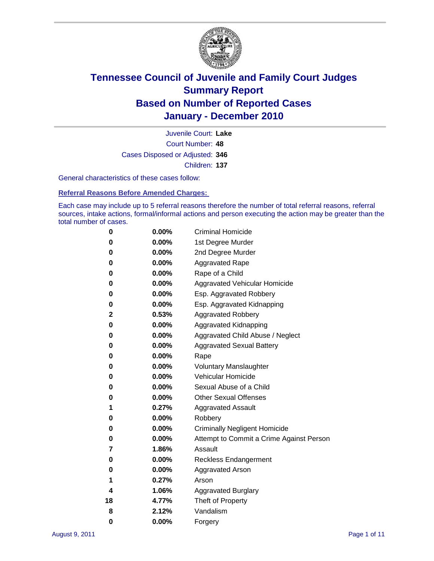

Court Number: **48** Juvenile Court: **Lake** Cases Disposed or Adjusted: **346** Children: **137**

General characteristics of these cases follow:

**Referral Reasons Before Amended Charges:** 

Each case may include up to 5 referral reasons therefore the number of total referral reasons, referral sources, intake actions, formal/informal actions and person executing the action may be greater than the total number of cases.

| 0  | $0.00\%$ | <b>Criminal Homicide</b>                 |  |  |  |
|----|----------|------------------------------------------|--|--|--|
| 0  | 0.00%    | 1st Degree Murder                        |  |  |  |
| 0  | 0.00%    | 2nd Degree Murder                        |  |  |  |
| 0  | 0.00%    | <b>Aggravated Rape</b>                   |  |  |  |
| 0  | 0.00%    | Rape of a Child                          |  |  |  |
| 0  | 0.00%    | Aggravated Vehicular Homicide            |  |  |  |
| 0  | 0.00%    | Esp. Aggravated Robbery                  |  |  |  |
| 0  | 0.00%    | Esp. Aggravated Kidnapping               |  |  |  |
| 2  | 0.53%    | <b>Aggravated Robbery</b>                |  |  |  |
| 0  | 0.00%    | Aggravated Kidnapping                    |  |  |  |
| 0  | 0.00%    | Aggravated Child Abuse / Neglect         |  |  |  |
| 0  | 0.00%    | <b>Aggravated Sexual Battery</b>         |  |  |  |
| 0  | 0.00%    | Rape                                     |  |  |  |
| 0  | $0.00\%$ | <b>Voluntary Manslaughter</b>            |  |  |  |
| 0  | 0.00%    | Vehicular Homicide                       |  |  |  |
| 0  | 0.00%    | Sexual Abuse of a Child                  |  |  |  |
| 0  | 0.00%    | <b>Other Sexual Offenses</b>             |  |  |  |
| 1  | 0.27%    | <b>Aggravated Assault</b>                |  |  |  |
| 0  | 0.00%    | Robbery                                  |  |  |  |
| 0  | 0.00%    | <b>Criminally Negligent Homicide</b>     |  |  |  |
| 0  | 0.00%    | Attempt to Commit a Crime Against Person |  |  |  |
| 7  | 1.86%    | Assault                                  |  |  |  |
| 0  | 0.00%    | <b>Reckless Endangerment</b>             |  |  |  |
| 0  | 0.00%    | <b>Aggravated Arson</b>                  |  |  |  |
| 1  | 0.27%    | Arson                                    |  |  |  |
| 4  | 1.06%    | <b>Aggravated Burglary</b>               |  |  |  |
| 18 | 4.77%    | Theft of Property                        |  |  |  |
| 8  | 2.12%    | Vandalism                                |  |  |  |
| 0  | 0.00%    | Forgery                                  |  |  |  |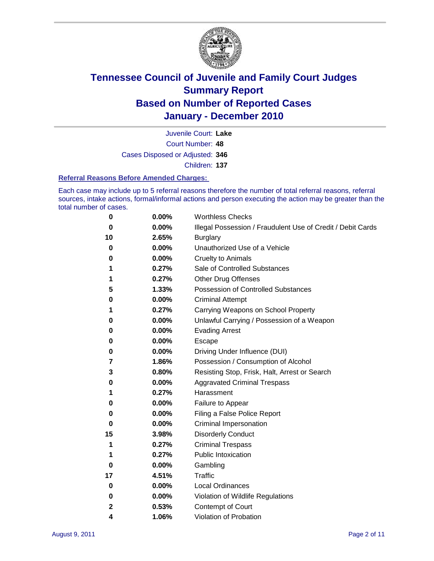

Court Number: **48** Juvenile Court: **Lake** Cases Disposed or Adjusted: **346** Children: **137**

#### **Referral Reasons Before Amended Charges:**

Each case may include up to 5 referral reasons therefore the number of total referral reasons, referral sources, intake actions, formal/informal actions and person executing the action may be greater than the total number of cases.

| 0           | 0.00% | <b>Worthless Checks</b>                                     |
|-------------|-------|-------------------------------------------------------------|
| 0           | 0.00% | Illegal Possession / Fraudulent Use of Credit / Debit Cards |
| 10          | 2.65% | <b>Burglary</b>                                             |
| 0           | 0.00% | Unauthorized Use of a Vehicle                               |
| 0           | 0.00% | <b>Cruelty to Animals</b>                                   |
| 1           | 0.27% | Sale of Controlled Substances                               |
| 1           | 0.27% | <b>Other Drug Offenses</b>                                  |
| 5           | 1.33% | Possession of Controlled Substances                         |
| 0           | 0.00% | <b>Criminal Attempt</b>                                     |
| 1           | 0.27% | Carrying Weapons on School Property                         |
| 0           | 0.00% | Unlawful Carrying / Possession of a Weapon                  |
| 0           | 0.00% | <b>Evading Arrest</b>                                       |
| 0           | 0.00% | Escape                                                      |
| 0           | 0.00% | Driving Under Influence (DUI)                               |
| 7           | 1.86% | Possession / Consumption of Alcohol                         |
| 3           | 0.80% | Resisting Stop, Frisk, Halt, Arrest or Search               |
| 0           | 0.00% | <b>Aggravated Criminal Trespass</b>                         |
| 1           | 0.27% | Harassment                                                  |
| 0           | 0.00% | Failure to Appear                                           |
| 0           | 0.00% | Filing a False Police Report                                |
| 0           | 0.00% | Criminal Impersonation                                      |
| 15          | 3.98% | <b>Disorderly Conduct</b>                                   |
| 1           | 0.27% | <b>Criminal Trespass</b>                                    |
| 1           | 0.27% | <b>Public Intoxication</b>                                  |
| 0           | 0.00% | Gambling                                                    |
| 17          | 4.51% | Traffic                                                     |
| 0           | 0.00% | <b>Local Ordinances</b>                                     |
| $\mathbf 0$ | 0.00% | Violation of Wildlife Regulations                           |
| 2           | 0.53% | Contempt of Court                                           |
| 4           | 1.06% | Violation of Probation                                      |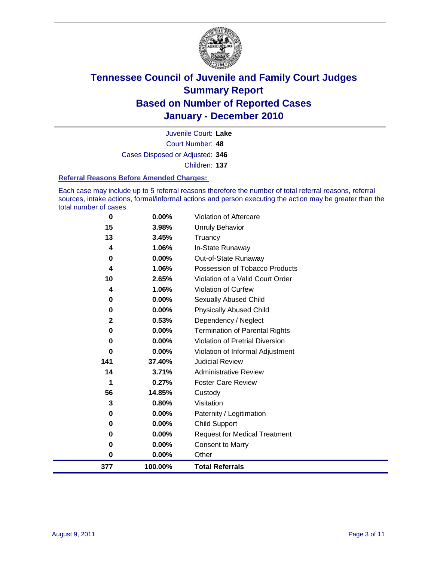

Court Number: **48** Juvenile Court: **Lake** Cases Disposed or Adjusted: **346** Children: **137**

#### **Referral Reasons Before Amended Charges:**

Each case may include up to 5 referral reasons therefore the number of total referral reasons, referral sources, intake actions, formal/informal actions and person executing the action may be greater than the total number of cases.

| $\bf{0}$     | 0.00%    | Violation of Aftercare                 |
|--------------|----------|----------------------------------------|
| 15           | 3.98%    | <b>Unruly Behavior</b>                 |
| 13           | 3.45%    | Truancy                                |
| 4            | 1.06%    | In-State Runaway                       |
| $\bf{0}$     | 0.00%    | Out-of-State Runaway                   |
| 4            | 1.06%    | Possession of Tobacco Products         |
| 10           | 2.65%    | Violation of a Valid Court Order       |
| 4            | 1.06%    | Violation of Curfew                    |
| 0            | $0.00\%$ | <b>Sexually Abused Child</b>           |
| $\bf{0}$     | 0.00%    | <b>Physically Abused Child</b>         |
| $\mathbf{2}$ | 0.53%    | Dependency / Neglect                   |
| $\bf{0}$     | 0.00%    | <b>Termination of Parental Rights</b>  |
| $\bf{0}$     | 0.00%    | <b>Violation of Pretrial Diversion</b> |
| $\bf{0}$     | 0.00%    | Violation of Informal Adjustment       |
| 141          | 37.40%   | <b>Judicial Review</b>                 |
| 14           | 3.71%    | <b>Administrative Review</b>           |
| 1            | 0.27%    | <b>Foster Care Review</b>              |
| 56           | 14.85%   | Custody                                |
| 3            | 0.80%    | Visitation                             |
| 0            | 0.00%    | Paternity / Legitimation               |
| 0            | 0.00%    | <b>Child Support</b>                   |
| 0            | 0.00%    | <b>Request for Medical Treatment</b>   |
| $\bf{0}$     | 0.00%    | <b>Consent to Marry</b>                |
| $\bf{0}$     | 0.00%    | Other                                  |
| 377          | 100.00%  | <b>Total Referrals</b>                 |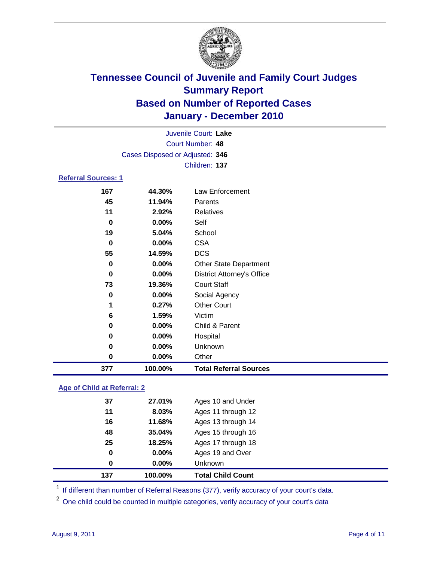

|             | Juvenile Court: Lake            |                                   |  |  |
|-------------|---------------------------------|-----------------------------------|--|--|
|             | Court Number: 48                |                                   |  |  |
|             | Cases Disposed or Adjusted: 346 |                                   |  |  |
|             |                                 | Children: 137                     |  |  |
|             | <b>Referral Sources: 1</b>      |                                   |  |  |
| 167         | 44.30%                          | Law Enforcement                   |  |  |
| 45          | 11.94%                          | Parents                           |  |  |
| 11          | 2.92%                           | <b>Relatives</b>                  |  |  |
| 0           | $0.00\%$                        | Self                              |  |  |
| 19          | 5.04%                           | School                            |  |  |
| $\bf{0}$    | 0.00%                           | <b>CSA</b>                        |  |  |
| 55          | 14.59%                          | <b>DCS</b>                        |  |  |
| $\mathbf 0$ | 0.00%                           | <b>Other State Department</b>     |  |  |
| 0           | 0.00%                           | <b>District Attorney's Office</b> |  |  |
| 73          | 19.36%                          | <b>Court Staff</b>                |  |  |
| 0           | 0.00%                           | Social Agency                     |  |  |
| 1           | 0.27%                           | <b>Other Court</b>                |  |  |
| 6           | 1.59%                           | Victim                            |  |  |
| 0           | 0.00%                           | Child & Parent                    |  |  |
| 0           | 0.00%                           | Hospital                          |  |  |
| 0           | 0.00%                           | Unknown                           |  |  |
| $\mathbf 0$ | 0.00%                           | Other                             |  |  |
| 377         | 100.00%                         | <b>Total Referral Sources</b>     |  |  |

### **Age of Child at Referral: 2**

| 0<br>0 | 0.00%<br>$0.00\%$ | Ages 19 and Over<br>Unknown |  |
|--------|-------------------|-----------------------------|--|
|        |                   |                             |  |
|        |                   |                             |  |
| 25     | 18.25%            | Ages 17 through 18          |  |
| 48     | 35.04%            | Ages 15 through 16          |  |
| 16     | 11.68%            | Ages 13 through 14          |  |
| 11     | 8.03%             | Ages 11 through 12          |  |
| 37     | 27.01%            | Ages 10 and Under           |  |
|        |                   |                             |  |

<sup>1</sup> If different than number of Referral Reasons (377), verify accuracy of your court's data.

<sup>2</sup> One child could be counted in multiple categories, verify accuracy of your court's data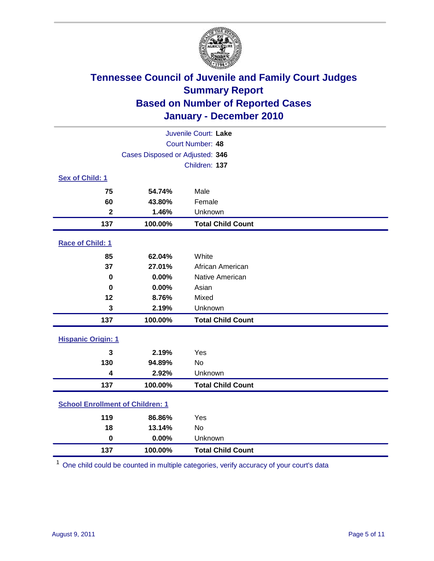

| Juvenile Court: Lake                    |                                 |                          |  |  |  |
|-----------------------------------------|---------------------------------|--------------------------|--|--|--|
|                                         | Court Number: 48                |                          |  |  |  |
|                                         | Cases Disposed or Adjusted: 346 |                          |  |  |  |
|                                         |                                 | Children: 137            |  |  |  |
| Sex of Child: 1                         |                                 |                          |  |  |  |
| 75                                      | 54.74%                          | Male                     |  |  |  |
| 60                                      | 43.80%                          | Female                   |  |  |  |
| $\overline{\mathbf{2}}$                 | 1.46%                           | Unknown                  |  |  |  |
| 137                                     | 100.00%                         | <b>Total Child Count</b> |  |  |  |
| Race of Child: 1                        |                                 |                          |  |  |  |
| 85                                      | 62.04%                          | White                    |  |  |  |
| 37                                      | 27.01%                          | African American         |  |  |  |
| $\mathbf 0$                             | 0.00%                           | Native American          |  |  |  |
| $\mathbf 0$                             | 0.00%                           | Asian                    |  |  |  |
| 12                                      | 8.76%                           | Mixed                    |  |  |  |
| 3                                       | 2.19%                           | Unknown                  |  |  |  |
| 137                                     | 100.00%                         | <b>Total Child Count</b> |  |  |  |
| <b>Hispanic Origin: 1</b>               |                                 |                          |  |  |  |
| 3                                       | 2.19%                           | Yes                      |  |  |  |
| 130                                     | 94.89%                          | <b>No</b>                |  |  |  |
| 4                                       | 2.92%                           | Unknown                  |  |  |  |
| 137                                     | 100.00%                         | <b>Total Child Count</b> |  |  |  |
| <b>School Enrollment of Children: 1</b> |                                 |                          |  |  |  |
| 119                                     | 86.86%                          | Yes                      |  |  |  |
| 18                                      | 13.14%                          | No                       |  |  |  |
| $\mathbf 0$                             | 0.00%                           | Unknown                  |  |  |  |
| 137                                     | 100.00%                         | <b>Total Child Count</b> |  |  |  |

One child could be counted in multiple categories, verify accuracy of your court's data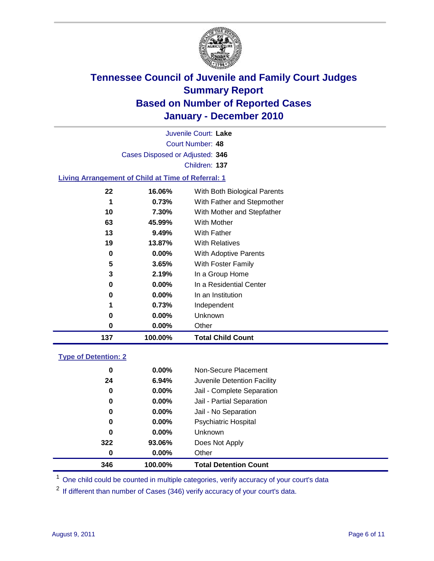

Court Number: **48** Juvenile Court: **Lake** Cases Disposed or Adjusted: **346** Children: **137**

### **Living Arrangement of Child at Time of Referral: 1**

| 137 | 100.00%  | <b>Total Child Count</b>     |
|-----|----------|------------------------------|
| 0   | 0.00%    | Other                        |
| 0   | 0.00%    | Unknown                      |
| 1   | 0.73%    | Independent                  |
| 0   | 0.00%    | In an Institution            |
| 0   | $0.00\%$ | In a Residential Center      |
| 3   | 2.19%    | In a Group Home              |
| 5   | 3.65%    | With Foster Family           |
| 0   | 0.00%    | With Adoptive Parents        |
| 19  | 13.87%   | <b>With Relatives</b>        |
| 13  | 9.49%    | With Father                  |
| 63  | 45.99%   | With Mother                  |
| 10  | 7.30%    | With Mother and Stepfather   |
| 1   | 0.73%    | With Father and Stepmother   |
| 22  | 16.06%   | With Both Biological Parents |
|     |          |                              |

### **Type of Detention: 2**

| 346 | 100.00%  | <b>Total Detention Count</b> |  |
|-----|----------|------------------------------|--|
| 0   | 0.00%    | Other                        |  |
| 322 | 93.06%   | Does Not Apply               |  |
| 0   | $0.00\%$ | Unknown                      |  |
| 0   | $0.00\%$ | Psychiatric Hospital         |  |
| 0   | 0.00%    | Jail - No Separation         |  |
| 0   | $0.00\%$ | Jail - Partial Separation    |  |
| 0   | $0.00\%$ | Jail - Complete Separation   |  |
| 24  | 6.94%    | Juvenile Detention Facility  |  |
| 0   | $0.00\%$ | Non-Secure Placement         |  |
|     |          |                              |  |

<sup>1</sup> One child could be counted in multiple categories, verify accuracy of your court's data

<sup>2</sup> If different than number of Cases (346) verify accuracy of your court's data.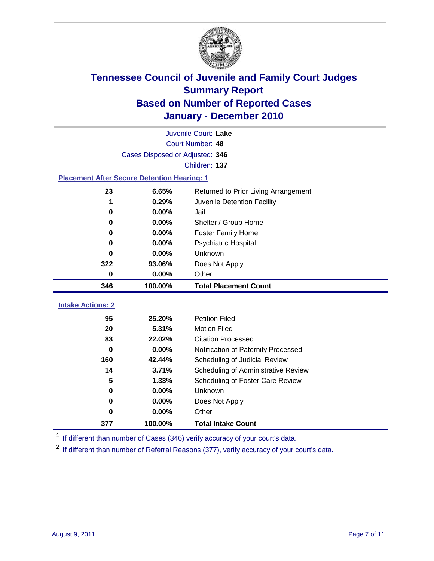

| Juvenile Court: Lake                               |                                 |                                      |  |  |  |
|----------------------------------------------------|---------------------------------|--------------------------------------|--|--|--|
|                                                    | Court Number: 48                |                                      |  |  |  |
|                                                    | Cases Disposed or Adjusted: 346 |                                      |  |  |  |
|                                                    | Children: 137                   |                                      |  |  |  |
| <b>Placement After Secure Detention Hearing: 1</b> |                                 |                                      |  |  |  |
| 23                                                 | 6.65%                           | Returned to Prior Living Arrangement |  |  |  |
| 1                                                  | 0.29%                           | Juvenile Detention Facility          |  |  |  |
| $\bf{0}$                                           | 0.00%                           | Jail                                 |  |  |  |
| $\bf{0}$                                           | $0.00\%$                        | Shelter / Group Home                 |  |  |  |
| 0                                                  | 0.00%                           | <b>Foster Family Home</b>            |  |  |  |
| 0                                                  | 0.00%                           | Psychiatric Hospital                 |  |  |  |
| 0                                                  | 0.00%                           | Unknown                              |  |  |  |
| 322                                                | 93.06%                          | Does Not Apply                       |  |  |  |
| $\bf{0}$                                           | $0.00\%$                        | Other                                |  |  |  |
| 346                                                | 100.00%                         | <b>Total Placement Count</b>         |  |  |  |
| <b>Intake Actions: 2</b>                           |                                 |                                      |  |  |  |
|                                                    |                                 |                                      |  |  |  |
| 95                                                 | 25.20%                          | <b>Petition Filed</b>                |  |  |  |
| 20                                                 | 5.31%                           | <b>Motion Filed</b>                  |  |  |  |
| 83                                                 | 22.02%                          | <b>Citation Processed</b>            |  |  |  |
| 0                                                  | 0.00%                           | Notification of Paternity Processed  |  |  |  |
| 160                                                | 42.44%                          | Scheduling of Judicial Review        |  |  |  |
| 14                                                 | 3.71%                           | Scheduling of Administrative Review  |  |  |  |
| 5                                                  | 1.33%                           | Scheduling of Foster Care Review     |  |  |  |
| $\bf{0}$                                           | 0.00%                           | Unknown                              |  |  |  |
| $\bf{0}$                                           | 0.00%                           | Does Not Apply                       |  |  |  |
| 0                                                  | 0.00%                           | Other                                |  |  |  |
| 377                                                | 100.00%                         | <b>Total Intake Count</b>            |  |  |  |

<sup>1</sup> If different than number of Cases (346) verify accuracy of your court's data.

<sup>2</sup> If different than number of Referral Reasons (377), verify accuracy of your court's data.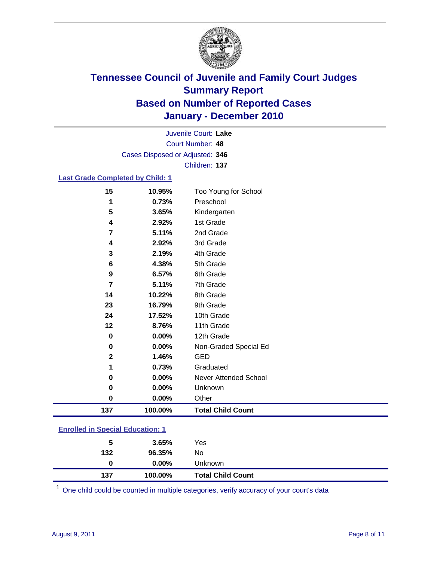

Court Number: **48** Juvenile Court: **Lake** Cases Disposed or Adjusted: **346** Children: **137**

### **Last Grade Completed by Child: 1**

| 15                                      | 10.95%   | Too Young for School         |  |
|-----------------------------------------|----------|------------------------------|--|
| 1                                       | 0.73%    | Preschool                    |  |
| 5                                       | 3.65%    | Kindergarten                 |  |
| 4                                       | 2.92%    | 1st Grade                    |  |
| 7                                       | 5.11%    | 2nd Grade                    |  |
| 4                                       | 2.92%    | 3rd Grade                    |  |
| 3                                       | 2.19%    | 4th Grade                    |  |
| 6                                       | 4.38%    | 5th Grade                    |  |
| 9                                       | 6.57%    | 6th Grade                    |  |
| $\overline{\mathbf{r}}$                 | 5.11%    | 7th Grade                    |  |
| 14                                      | 10.22%   | 8th Grade                    |  |
| 23                                      | 16.79%   | 9th Grade                    |  |
| 24                                      | 17.52%   | 10th Grade                   |  |
| 12                                      | 8.76%    | 11th Grade                   |  |
| 0                                       | $0.00\%$ | 12th Grade                   |  |
| 0                                       | 0.00%    | Non-Graded Special Ed        |  |
| $\overline{2}$                          | 1.46%    | <b>GED</b>                   |  |
| 1                                       | 0.73%    | Graduated                    |  |
| 0                                       | 0.00%    | <b>Never Attended School</b> |  |
| 0                                       | 0.00%    | Unknown                      |  |
| $\bf{0}$                                | 0.00%    | Other                        |  |
| 137                                     | 100.00%  | <b>Total Child Count</b>     |  |
| <b>Enrolled in Special Education: 1</b> |          |                              |  |

| 137                                       | 100.00%  | <b>Total Child Count</b> |  |  |
|-------------------------------------------|----------|--------------------------|--|--|
| 0                                         | $0.00\%$ | Unknown                  |  |  |
| 132                                       | 96.35%   | No                       |  |  |
| 5                                         | 3.65%    | Yes                      |  |  |
| <u>Lillolled III opecial Luucation. T</u> |          |                          |  |  |

One child could be counted in multiple categories, verify accuracy of your court's data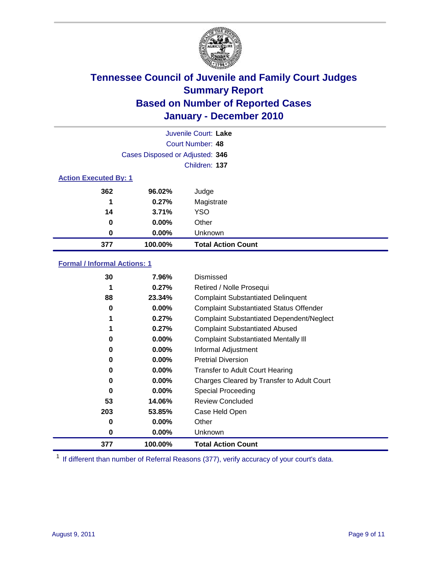

| Juvenile Court: Lake         |                                 |                           |  |  |
|------------------------------|---------------------------------|---------------------------|--|--|
|                              | Court Number: 48                |                           |  |  |
|                              | Cases Disposed or Adjusted: 346 |                           |  |  |
|                              | Children: 137                   |                           |  |  |
| <b>Action Executed By: 1</b> |                                 |                           |  |  |
| 362                          | 96.02%                          | Judge                     |  |  |
| 1                            | 0.27%                           | Magistrate                |  |  |
| 14                           | 3.71%                           | <b>YSO</b>                |  |  |
| 0                            | 0.00%                           | Other                     |  |  |
| 0                            | 0.00%                           | Unknown                   |  |  |
| 377                          | 100.00%                         | <b>Total Action Count</b> |  |  |

### **Formal / Informal Actions: 1**

| 30  | 7.96%    | Dismissed                                        |
|-----|----------|--------------------------------------------------|
| 1   | 0.27%    | Retired / Nolle Prosequi                         |
| 88  | 23.34%   | <b>Complaint Substantiated Delinquent</b>        |
| 0   | $0.00\%$ | <b>Complaint Substantiated Status Offender</b>   |
|     | 0.27%    | <b>Complaint Substantiated Dependent/Neglect</b> |
|     | 0.27%    | <b>Complaint Substantiated Abused</b>            |
| 0   | $0.00\%$ | <b>Complaint Substantiated Mentally III</b>      |
| 0   | $0.00\%$ | Informal Adjustment                              |
| 0   | $0.00\%$ | <b>Pretrial Diversion</b>                        |
| 0   | $0.00\%$ | <b>Transfer to Adult Court Hearing</b>           |
| 0   | $0.00\%$ | Charges Cleared by Transfer to Adult Court       |
| 0   | $0.00\%$ | Special Proceeding                               |
| 53  | 14.06%   | <b>Review Concluded</b>                          |
| 203 | 53.85%   | Case Held Open                                   |
| 0   | $0.00\%$ | Other                                            |
| 0   | $0.00\%$ | Unknown                                          |
| 377 | 100.00%  | <b>Total Action Count</b>                        |

<sup>1</sup> If different than number of Referral Reasons (377), verify accuracy of your court's data.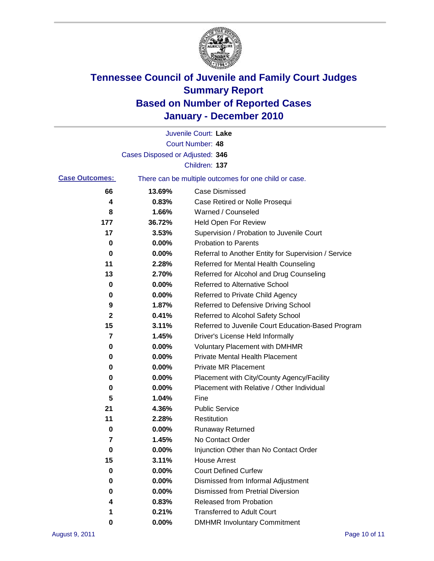

|                       |                                 | Juvenile Court: Lake                                  |
|-----------------------|---------------------------------|-------------------------------------------------------|
|                       |                                 | Court Number: 48                                      |
|                       | Cases Disposed or Adjusted: 346 |                                                       |
|                       |                                 | Children: 137                                         |
| <b>Case Outcomes:</b> |                                 | There can be multiple outcomes for one child or case. |
| 66                    | 13.69%                          | <b>Case Dismissed</b>                                 |
| 4                     | 0.83%                           | Case Retired or Nolle Prosequi                        |
| 8                     | 1.66%                           | Warned / Counseled                                    |
| 177                   | 36.72%                          | Held Open For Review                                  |
| 17                    | 3.53%                           | Supervision / Probation to Juvenile Court             |
| 0                     | 0.00%                           | <b>Probation to Parents</b>                           |
| 0                     | 0.00%                           | Referral to Another Entity for Supervision / Service  |
| 11                    | 2.28%                           | Referred for Mental Health Counseling                 |
| 13                    | 2.70%                           | Referred for Alcohol and Drug Counseling              |
| 0                     | 0.00%                           | Referred to Alternative School                        |
| 0                     | 0.00%                           | Referred to Private Child Agency                      |
| 9                     | 1.87%                           | Referred to Defensive Driving School                  |
| 2                     | 0.41%                           | Referred to Alcohol Safety School                     |
| 15                    | 3.11%                           | Referred to Juvenile Court Education-Based Program    |
| 7                     | 1.45%                           | Driver's License Held Informally                      |
| 0                     | 0.00%                           | <b>Voluntary Placement with DMHMR</b>                 |
| 0                     | 0.00%                           | <b>Private Mental Health Placement</b>                |
| 0                     | 0.00%                           | <b>Private MR Placement</b>                           |
| 0                     | 0.00%                           | Placement with City/County Agency/Facility            |
| 0                     | 0.00%                           | Placement with Relative / Other Individual            |
| 5                     | 1.04%                           | Fine                                                  |
| 21                    | 4.36%                           | <b>Public Service</b>                                 |
| 11                    | 2.28%                           | Restitution                                           |
| 0                     | 0.00%                           | <b>Runaway Returned</b>                               |
| 7                     | 1.45%                           | No Contact Order                                      |
| 0                     | 0.00%                           | Injunction Other than No Contact Order                |
| 15                    | 3.11%                           | <b>House Arrest</b>                                   |
| 0                     | 0.00%                           | <b>Court Defined Curfew</b>                           |
| 0                     | $0.00\%$                        | Dismissed from Informal Adjustment                    |
| 0                     | 0.00%                           | <b>Dismissed from Pretrial Diversion</b>              |
| 4                     | 0.83%                           | Released from Probation                               |
| 1                     | 0.21%                           | <b>Transferred to Adult Court</b>                     |
| 0                     | $0.00\%$                        | <b>DMHMR Involuntary Commitment</b>                   |